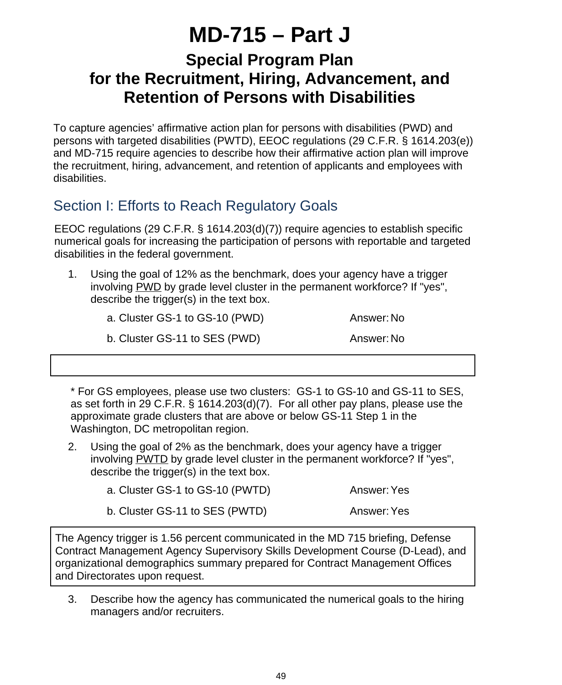# **MD-715 – Part J**

# **Special Program Plan for the Recruitment, Hiring, Advancement, and Retention of Persons with Disabilities**

To capture agencies' affirmative action plan for persons with disabilities (PWD) and persons with targeted disabilities (PWTD), EEOC regulations (29 C.F.R. § 1614.203(e)) and MD-715 require agencies to describe how their affirmative action plan will improve the recruitment, hiring, advancement, and retention of applicants and employees with disabilities.

# Section I: Efforts to Reach Regulatory Goals

EEOC regulations (29 C.F.R. § 1614.203(d)(7)) require agencies to establish specific numerical goals for increasing the participation of persons with reportable and targeted disabilities in the federal government.

Using the goal of 12% as the benchmark, does your agency have a trigger involving PWD by grade level cluster in the permanent workforce? If "yes", describe the trigger(s) in the text box. 1.

| a. Cluster GS-1 to GS-10 (PWD) | Answer: No |
|--------------------------------|------------|
|--------------------------------|------------|

b. Cluster GS-11 to SES (PWD) Answer: No

\* For GS employees, please use two clusters: GS-1 to GS-10 and GS-11 to SES, as set forth in 29 C.F.R. § 1614.203(d)(7). For all other pay plans, please use the approximate grade clusters that are above or below GS-11 Step 1 in the Washington, DC metropolitan region.

Using the goal of 2% as the benchmark, does your agency have a trigger involving PWTD by grade level cluster in the permanent workforce? If "yes", describe the trigger(s) in the text box. 2.

| a. Cluster GS-1 to GS-10 (PWTD) | Answer: Yes |
|---------------------------------|-------------|
|                                 |             |

b. Cluster GS-11 to SES (PWTD) Answer: Yes

The Agency trigger is 1.56 percent communicated in the MD 715 briefing, Defense Contract Management Agency Supervisory Skills Development Course (D-Lead), and organizational demographics summary prepared for Contract Management Offices and Directorates upon request.

Describe how the agency has communicated the numerical goals to the hiring managers and/or recruiters. 3.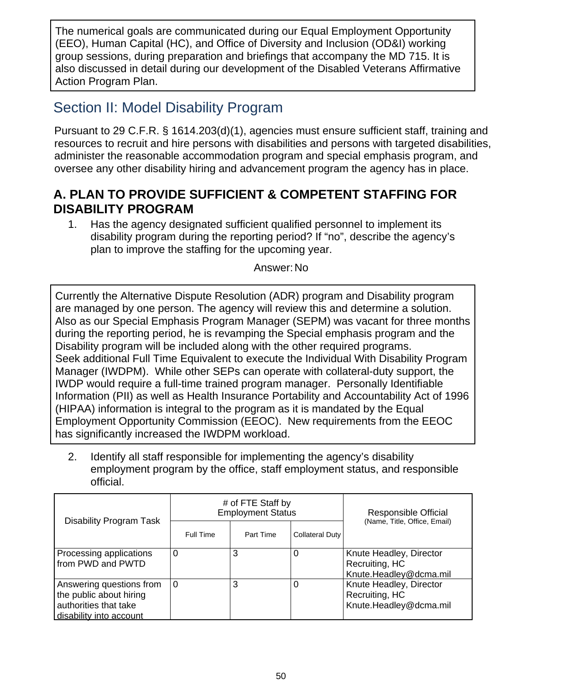The numerical goals are communicated during our Equal Employment Opportunity (EEO), Human Capital (HC), and Office of Diversity and Inclusion (OD&I) working group sessions, during preparation and briefings that accompany the MD 715. It is also discussed in detail during our development of the Disabled Veterans Affirmative Action Program Plan.

# Section II: Model Disability Program

Pursuant to 29 C.F.R. § 1614.203(d)(1), agencies must ensure sufficient staff, training and resources to recruit and hire persons with disabilities and persons with targeted disabilities, administer the reasonable accommodation program and special emphasis program, and oversee any other disability hiring and advancement program the agency has in place.

#### **A. PLAN TO PROVIDE SUFFICIENT & COMPETENT STAFFING FOR DISABILITY PROGRAM**

Has the agency designated sufficient qualified personnel to implement its disability program during the reporting period? If "no", describe the agency's plan to improve the staffing for the upcoming year. 1.

Answer:No

Currently the Alternative Dispute Resolution (ADR) program and Disability program are managed by one person. The agency will review this and determine a solution. Also as our Special Emphasis Program Manager (SEPM) was vacant for three months during the reporting period, he is revamping the Special emphasis program and the Disability program will be included along with the other required programs. Seek additional Full Time Equivalent to execute the Individual With Disability Program Manager (IWDPM). While other SEPs can operate with collateral-duty support, the IWDP would require a full-time trained program manager. Personally Identifiable Information (PII) as well as Health Insurance Portability and Accountability Act of 1996 (HIPAA) information is integral to the program as it is mandated by the Equal Employment Opportunity Commission (EEOC). New requirements from the EEOC has significantly increased the IWDPM workload.

Identify all staff responsible for implementing the agency's disability employment program by the office, staff employment status, and responsible official. 2.

| Disability Program Task                                                                                 | # of FTE Staff by<br><b>Employment Status</b> |           |                        | Responsible Official                                                |  |
|---------------------------------------------------------------------------------------------------------|-----------------------------------------------|-----------|------------------------|---------------------------------------------------------------------|--|
|                                                                                                         | Full Time                                     | Part Time | <b>Collateral Duty</b> | (Name, Title, Office, Email)                                        |  |
| Processing applications<br>from PWD and PWTD                                                            | 0                                             | 3         |                        | Knute Headley, Director<br>Recruiting, HC<br>Knute.Headley@dcma.mil |  |
| Answering questions from<br>the public about hiring<br>authorities that take<br>disability into account | ۱O                                            | 3         |                        | Knute Headley, Director<br>Recruiting, HC<br>Knute.Headley@dcma.mil |  |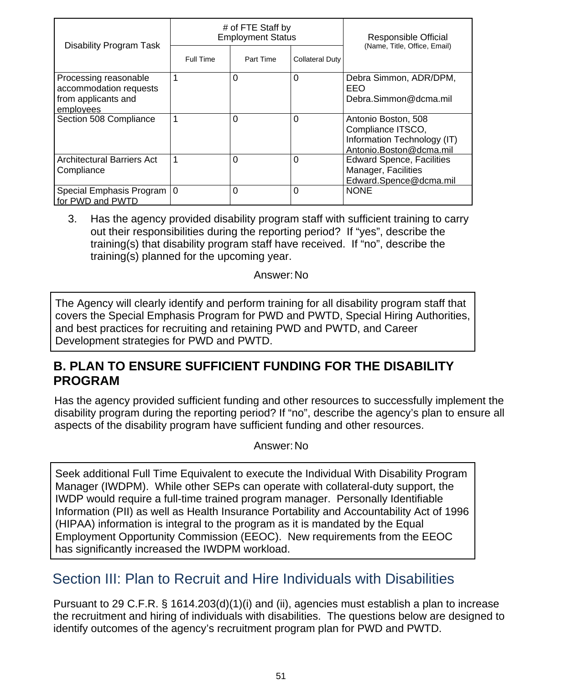| <b>Disability Program Task</b>                                                      | # of FTE Staff by<br><b>Employment Status</b> |           |                        | Responsible Official<br>(Name, Title, Office, Email)                                               |
|-------------------------------------------------------------------------------------|-----------------------------------------------|-----------|------------------------|----------------------------------------------------------------------------------------------------|
|                                                                                     | Full Time                                     | Part Time | <b>Collateral Duty</b> |                                                                                                    |
| Processing reasonable<br>accommodation requests<br>from applicants and<br>employees | 1                                             | $\Omega$  | $\Omega$               | Debra Simmon, ADR/DPM,<br>EEO<br>Debra.Simmon@dcma.mil                                             |
| Section 508 Compliance                                                              | 1                                             | $\Omega$  | $\Omega$               | Antonio Boston, 508<br>Compliance ITSCO,<br>Information Technology (IT)<br>Antonio.Boston@dcma.mil |
| <b>Architectural Barriers Act</b><br>Compliance                                     | 1                                             | $\Omega$  | $\Omega$               | <b>Edward Spence, Facilities</b><br>Manager, Facilities<br>Edward.Spence@dcma.mil                  |
| Special Emphasis Program   0<br>for PWD and PWTD                                    |                                               | 0         | $\Omega$               | <b>NONE</b>                                                                                        |

Has the agency provided disability program staff with sufficient training to carry out their responsibilities during the reporting period? If "yes", describe the training(s) that disability program staff have received. If "no", describe the training(s) planned for the upcoming year. 3.

Answer:No

The Agency will clearly identify and perform training for all disability program staff that covers the Special Emphasis Program for PWD and PWTD, Special Hiring Authorities, and best practices for recruiting and retaining PWD and PWTD, and Career Development strategies for PWD and PWTD.

#### **B. PLAN TO ENSURE SUFFICIENT FUNDING FOR THE DISABILITY PROGRAM**

Has the agency provided sufficient funding and other resources to successfully implement the disability program during the reporting period? If "no", describe the agency's plan to ensure all aspects of the disability program have sufficient funding and other resources.

Answer:No

Seek additional Full Time Equivalent to execute the Individual With Disability Program Manager (IWDPM). While other SEPs can operate with collateral-duty support, the IWDP would require a full-time trained program manager. Personally Identifiable Information (PII) as well as Health Insurance Portability and Accountability Act of 1996 (HIPAA) information is integral to the program as it is mandated by the Equal Employment Opportunity Commission (EEOC). New requirements from the EEOC has significantly increased the IWDPM workload.

# Section III: Plan to Recruit and Hire Individuals with Disabilities

Pursuant to 29 C.F.R. § 1614.203(d)(1)(i) and (ii), agencies must establish a plan to increase the recruitment and hiring of individuals with disabilities. The questions below are designed to identify outcomes of the agency's recruitment program plan for PWD and PWTD.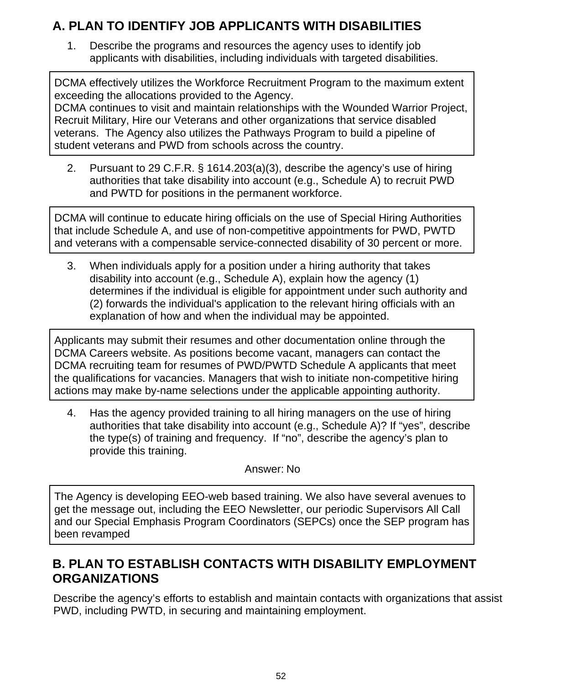### **A. PLAN TO IDENTIFY JOB APPLICANTS WITH DISABILITIES**

Describe the programs and resources the agency uses to identify job applicants with disabilities, including individuals with targeted disabilities. 1.

DCMA effectively utilizes the Workforce Recruitment Program to the maximum extent exceeding the allocations provided to the Agency.

DCMA continues to visit and maintain relationships with the Wounded Warrior Project, Recruit Military, Hire our Veterans and other organizations that service disabled veterans. The Agency also utilizes the Pathways Program to build a pipeline of student veterans and PWD from schools across the country.

Pursuant to 29 C.F.R. § 1614.203(a)(3), describe the agency's use of hiring authorities that take disability into account (e.g., Schedule A) to recruit PWD and PWTD for positions in the permanent workforce. 2.

DCMA will continue to educate hiring officials on the use of Special Hiring Authorities that include Schedule A, and use of non-competitive appointments for PWD, PWTD and veterans with a compensable service-connected disability of 30 percent or more.

When individuals apply for a position under a hiring authority that takes disability into account (e.g., Schedule A), explain how the agency (1) determines if the individual is eligible for appointment under such authority and (2) forwards the individual's application to the relevant hiring officials with an explanation of how and when the individual may be appointed. 3.

Applicants may submit their resumes and other documentation online through the DCMA Careers website. As positions become vacant, managers can contact the DCMA recruiting team for resumes of PWD/PWTD Schedule A applicants that meet the qualifications for vacancies. Managers that wish to initiate non-competitive hiring actions may make by-name selections under the applicable appointing authority.

Has the agency provided training to all hiring managers on the use of hiring authorities that take disability into account (e.g., Schedule A)? If "yes", describe the type(s) of training and frequency. If "no", describe the agency's plan to provide this training. 4.

#### Answer: No

The Agency is developing EEO-web based training. We also have several avenues to get the message out, including the EEO Newsletter, our periodic Supervisors All Call and our Special Emphasis Program Coordinators (SEPCs) once the SEP program has been revamped

### **B. PLAN TO ESTABLISH CONTACTS WITH DISABILITY EMPLOYMENT ORGANIZATIONS**

Describe the agency's efforts to establish and maintain contacts with organizations that assist PWD, including PWTD, in securing and maintaining employment.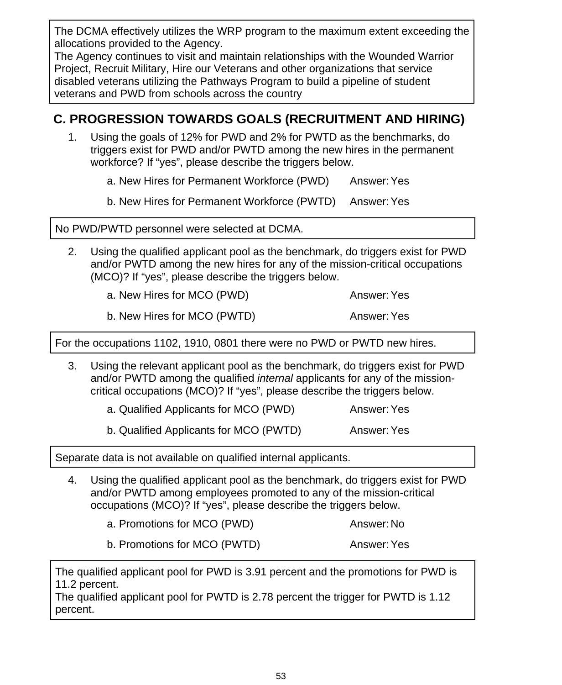The DCMA effectively utilizes the WRP program to the maximum extent exceeding the allocations provided to the Agency.

The Agency continues to visit and maintain relationships with the Wounded Warrior Project, Recruit Military, Hire our Veterans and other organizations that service disabled veterans utilizing the Pathways Program to build a pipeline of student veterans and PWD from schools across the country

#### **C. PROGRESSION TOWARDS GOALS (RECRUITMENT AND HIRING)**

Using the goals of 12% for PWD and 2% for PWTD as the benchmarks, do triggers exist for PWD and/or PWTD among the new hires in the permanent workforce? If "yes", please describe the triggers below. 1.

a. New Hires for Permanent Workforce (PWD) Answer:Yes

b. New Hires for Permanent Workforce (PWTD) Answer:Yes

No PWD/PWTD personnel were selected at DCMA.

Using the qualified applicant pool as the benchmark, do triggers exist for PWD and/or PWTD among the new hires for any of the mission-critical occupations (MCO)? If "yes", please describe the triggers below. 2.

a. New Hires for MCO (PWD) Answer: Yes

b. New Hires for MCO (PWTD) Answer: Yes

For the occupations 1102, 1910, 0801 there were no PWD or PWTD new hires.

Using the relevant applicant pool as the benchmark, do triggers exist for PWD and/or PWTD among the qualified *internal* applicants for any of the missioncritical occupations (MCO)? If "yes", please describe the triggers below. 3.

a. Qualified Applicants for MCO (PWD) Answer: Yes

b. Qualified Applicants for MCO (PWTD) Answer: Yes

Separate data is not available on qualified internal applicants.

Using the qualified applicant pool as the benchmark, do triggers exist for PWD and/or PWTD among employees promoted to any of the mission-critical occupations (MCO)? If "yes", please describe the triggers below. 4.

a. Promotions for MCO (PWD) Answer: No

b. Promotions for MCO (PWTD) Answer: Yes

The qualified applicant pool for PWD is 3.91 percent and the promotions for PWD is 11.2 percent.

The qualified applicant pool for PWTD is 2.78 percent the trigger for PWTD is 1.12 percent.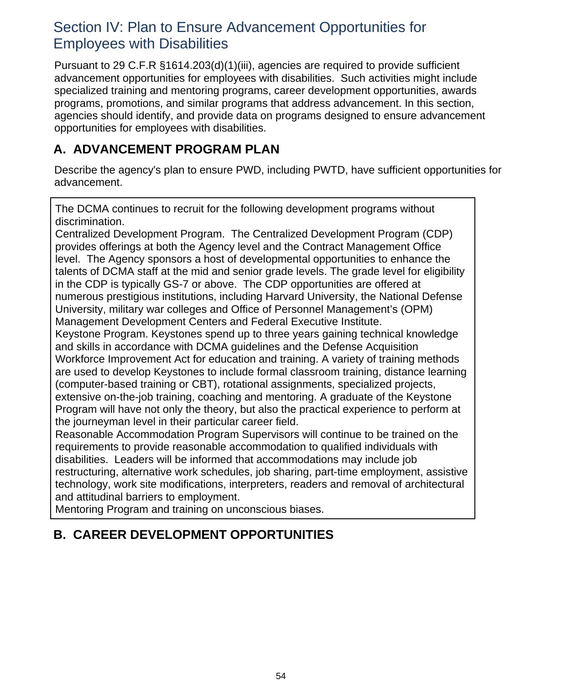# Section IV: Plan to Ensure Advancement Opportunities for Employees with Disabilities

Pursuant to 29 C.F.R §1614.203(d)(1)(iii), agencies are required to provide sufficient advancement opportunities for employees with disabilities. Such activities might include specialized training and mentoring programs, career development opportunities, awards programs, promotions, and similar programs that address advancement. In this section, agencies should identify, and provide data on programs designed to ensure advancement opportunities for employees with disabilities.

### **A. ADVANCEMENT PROGRAM PLAN**

Describe the agency's plan to ensure PWD, including PWTD, have sufficient opportunities for advancement.

The DCMA continues to recruit for the following development programs without discrimination.

Centralized Development Program. The Centralized Development Program (CDP) provides offerings at both the Agency level and the Contract Management Office level. The Agency sponsors a host of developmental opportunities to enhance the talents of DCMA staff at the mid and senior grade levels. The grade level for eligibility in the CDP is typically GS-7 or above. The CDP opportunities are offered at numerous prestigious institutions, including Harvard University, the National Defense University, military war colleges and Office of Personnel Management's (OPM) Management Development Centers and Federal Executive Institute.

Keystone Program. Keystones spend up to three years gaining technical knowledge and skills in accordance with DCMA guidelines and the Defense Acquisition Workforce Improvement Act for education and training. A variety of training methods are used to develop Keystones to include formal classroom training, distance learning (computer-based training or CBT), rotational assignments, specialized projects, extensive on-the-job training, coaching and mentoring. A graduate of the Keystone Program will have not only the theory, but also the practical experience to perform at the journeyman level in their particular career field.

Reasonable Accommodation Program Supervisors will continue to be trained on the requirements to provide reasonable accommodation to qualified individuals with disabilities. Leaders will be informed that accommodations may include job restructuring, alternative work schedules, job sharing, part-time employment, assistive technology, work site modifications, interpreters, readers and removal of architectural and attitudinal barriers to employment.

Mentoring Program and training on unconscious biases.

# **B. CAREER DEVELOPMENT OPPORTUNITIES**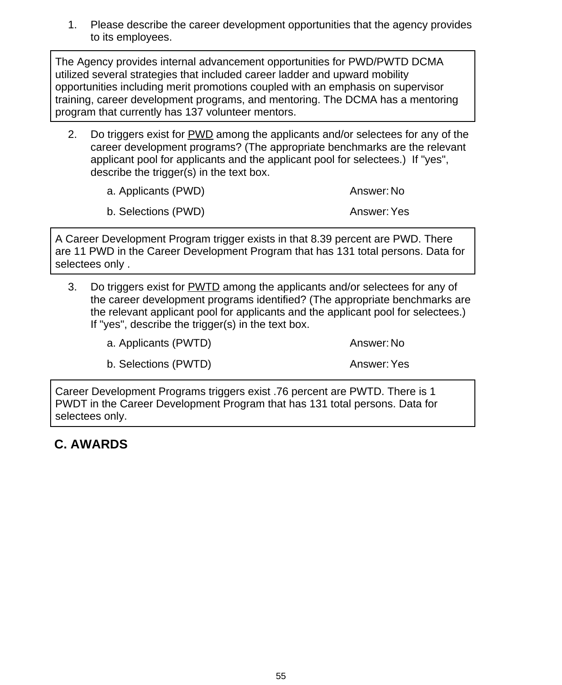Please describe the career development opportunities that the agency provides to its employees. 1.

The Agency provides internal advancement opportunities for PWD/PWTD DCMA utilized several strategies that included career ladder and upward mobility opportunities including merit promotions coupled with an emphasis on supervisor training, career development programs, and mentoring. The DCMA has a mentoring program that currently has 137 volunteer mentors.

Do triggers exist for PWD among the applicants and/or selectees for any of the career development programs? (The appropriate benchmarks are the relevant applicant pool for applicants and the applicant pool for selectees.) If "yes", describe the trigger(s) in the text box. 2.

| a. Applicants (PWD) | Answer: No         |
|---------------------|--------------------|
| b. Selections (PWD) | <b>Answer: Yes</b> |

A Career Development Program trigger exists in that 8.39 percent are PWD. There are 11 PWD in the Career Development Program that has 131 total persons. Data for selectees only .

Do triggers exist for PWTD among the applicants and/or selectees for any of the career development programs identified? (The appropriate benchmarks are the relevant applicant pool for applicants and the applicant pool for selectees.) If "yes", describe the trigger(s) in the text box. 3.

a. Applicants (PWTD) a. Answer: No

b. Selections (PWTD) and the control of the Answer: Yes

Career Development Programs triggers exist .76 percent are PWTD. There is 1 PWDT in the Career Development Program that has 131 total persons. Data for selectees only.

### **C. AWARDS**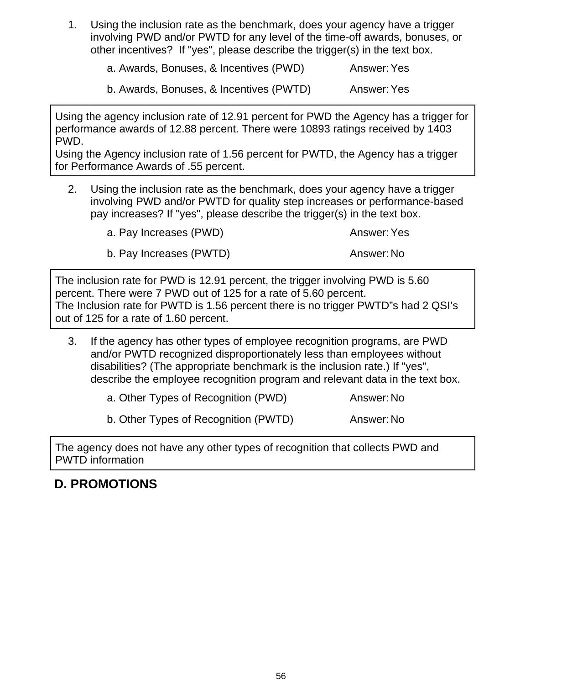Using the inclusion rate as the benchmark, does your agency have a trigger involving PWD and/or PWTD for any level of the time-off awards, bonuses, or other incentives? If "yes", please describe the trigger(s) in the text box. 1.

a. Awards, Bonuses, & Incentives (PWD) Answer:Yes

b. Awards, Bonuses, & Incentives (PWTD) Answer:Yes

Using the agency inclusion rate of 12.91 percent for PWD the Agency has a trigger for performance awards of 12.88 percent. There were 10893 ratings received by 1403 PWD.

Using the Agency inclusion rate of 1.56 percent for PWTD, the Agency has a trigger for Performance Awards of .55 percent.

Using the inclusion rate as the benchmark, does your agency have a trigger involving PWD and/or PWTD for quality step increases or performance-based pay increases? If "yes", please describe the trigger(s) in the text box. 2.

a. Pay Increases (PWD) a. Pay Increases (PWD)

b. Pay Increases (PWTD) Answer: No

The inclusion rate for PWD is 12.91 percent, the trigger involving PWD is 5.60 percent. There were 7 PWD out of 125 for a rate of 5.60 percent. The Inclusion rate for PWTD is 1.56 percent there is no trigger PWTD"s had 2 QSI's out of 125 for a rate of 1.60 percent.

- If the agency has other types of employee recognition programs, are PWD and/or PWTD recognized disproportionately less than employees without disabilities? (The appropriate benchmark is the inclusion rate.) If "yes", describe the employee recognition program and relevant data in the text box. 3.
	- a. Other Types of Recognition (PWD) Answer: No

b. Other Types of Recognition (PWTD) Answer: No

The agency does not have any other types of recognition that collects PWD and PWTD information

# **D. PROMOTIONS**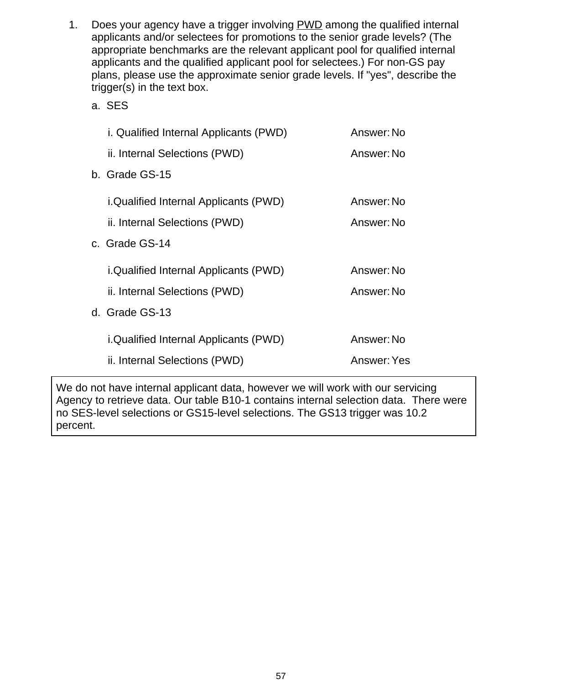- Does your agency have a trigger involving PWD among the qualified internal applicants and/or selectees for promotions to the senior grade levels? (The appropriate benchmarks are the relevant applicant pool for qualified internal applicants and the qualified applicant pool for selectees.) For non-GS pay plans, please use the approximate senior grade levels. If "yes", describe the trigger(s) in the text box. 1.
	- a. SES

| i. Qualified Internal Applicants (PWD)       | Answer: No  |
|----------------------------------------------|-------------|
| ii. Internal Selections (PWD)                | Answer: No  |
| b. Grade GS-15                               |             |
| <i>i.Qualified Internal Applicants (PWD)</i> | Answer: No  |
| ii. Internal Selections (PWD)                | Answer: No  |
| c. Grade GS-14                               |             |
| i.Qualified Internal Applicants (PWD)        | Answer: No  |
| ii. Internal Selections (PWD)                | Answer: No  |
| d. Grade GS-13                               |             |
| <i>i.Qualified Internal Applicants (PWD)</i> | Answer: No  |
| ii. Internal Selections (PWD)                | Answer: Yes |

We do not have internal applicant data, however we will work with our servicing Agency to retrieve data. Our table B10-1 contains internal selection data. There were no SES-level selections or GS15-level selections. The GS13 trigger was 10.2 percent.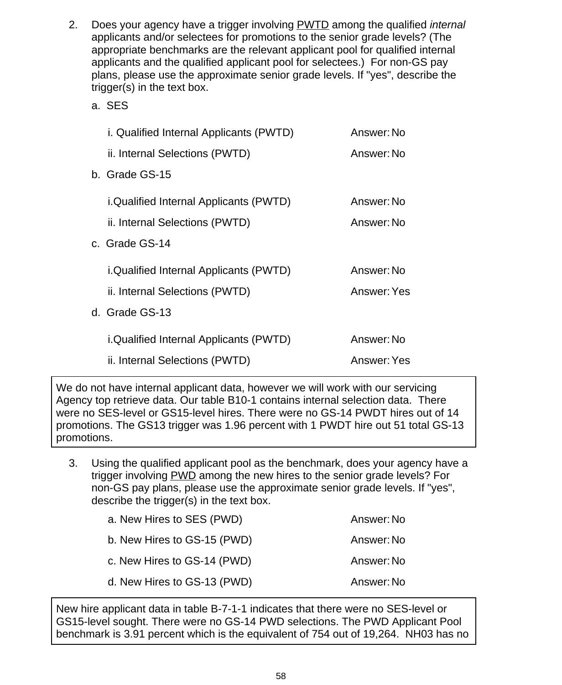- Does your agency have a trigger involving PWTD among the qualified *internal* applicants and/or selectees for promotions to the senior grade levels? (The appropriate benchmarks are the relevant applicant pool for qualified internal applicants and the qualified applicant pool for selectees.) For non-GS pay plans, please use the approximate senior grade levels. If "yes", describe the trigger(s) in the text box. 2.
	- a. SES

| i. Qualified Internal Applicants (PWTD)       | Answer: No         |
|-----------------------------------------------|--------------------|
| ii. Internal Selections (PWTD)                | Answer: No         |
| b. Grade GS-15                                |                    |
| <i>i.Qualified Internal Applicants (PWTD)</i> | Answer: No         |
| ii. Internal Selections (PWTD)                | Answer: No         |
| c. Grade GS-14                                |                    |
| i.Qualified Internal Applicants (PWTD)        | Answer: No         |
| ii. Internal Selections (PWTD)                | <b>Answer: Yes</b> |
| d. Grade GS-13                                |                    |
| <i>i.Qualified Internal Applicants (PWTD)</i> | Answer: No         |
| ii. Internal Selections (PWTD)                | Answer: Yes        |
|                                               |                    |

We do not have internal applicant data, however we will work with our servicing Agency top retrieve data. Our table B10-1 contains internal selection data. There were no SES-level or GS15-level hires. There were no GS-14 PWDT hires out of 14 promotions. The GS13 trigger was 1.96 percent with 1 PWDT hire out 51 total GS-13 promotions.

Using the qualified applicant pool as the benchmark, does your agency have a trigger involving PWD among the new hires to the senior grade levels? For non-GS pay plans, please use the approximate senior grade levels. If "yes", describe the trigger(s) in the text box. 3.

| a. New Hires to SES (PWD)   | Answer: No |
|-----------------------------|------------|
| b. New Hires to GS-15 (PWD) | Answer: No |
| c. New Hires to GS-14 (PWD) | Answer: No |
| d. New Hires to GS-13 (PWD) | Answer: No |

New hire applicant data in table B-7-1-1 indicates that there were no SES-level or GS15-level sought. There were no GS-14 PWD selections. The PWD Applicant Pool benchmark is 3.91 percent which is the equivalent of 754 out of 19,264. NH03 has no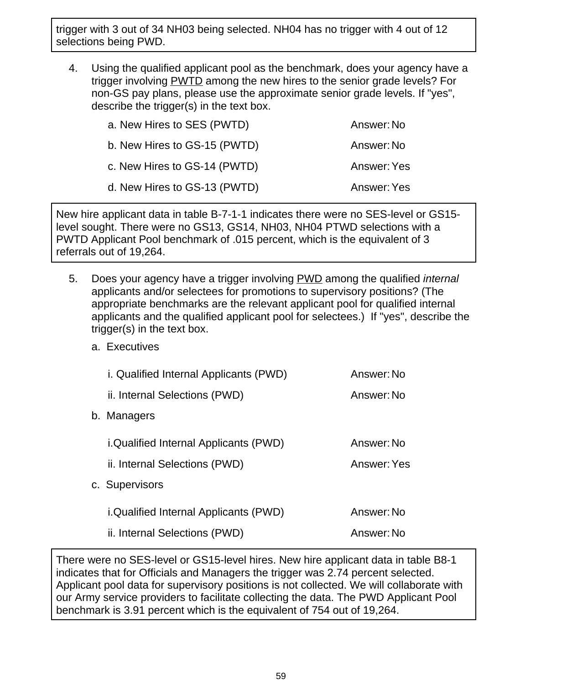trigger with 3 out of 34 NH03 being selected. NH04 has no trigger with 4 out of 12 selections being PWD.

Using the qualified applicant pool as the benchmark, does your agency have a trigger involving PWTD among the new hires to the senior grade levels? For non-GS pay plans, please use the approximate senior grade levels. If "yes", describe the trigger(s) in the text box. 4.

| a. New Hires to SES (PWTD)   | Answer: No  |
|------------------------------|-------------|
| b. New Hires to GS-15 (PWTD) | Answer: No  |
| c. New Hires to GS-14 (PWTD) | Answer: Yes |
| d. New Hires to GS-13 (PWTD) | Answer: Yes |

New hire applicant data in table B-7-1-1 indicates there were no SES-level or GS15 level sought. There were no GS13, GS14, NH03, NH04 PTWD selections with a PWTD Applicant Pool benchmark of .015 percent, which is the equivalent of 3 referrals out of 19,264.

- Does your agency have a trigger involving PWD among the qualified *internal* applicants and/or selectees for promotions to supervisory positions? (The appropriate benchmarks are the relevant applicant pool for qualified internal applicants and the qualified applicant pool for selectees.) If "yes", describe the trigger(s) in the text box. 5.
	- a. Executives

|    | <i>i.</i> Qualified Internal Applicants (PWD) | Answer: No  |
|----|-----------------------------------------------|-------------|
|    | ii. Internal Selections (PWD)                 | Answer: No  |
| b. | Managers                                      |             |
|    | <i>i.Qualified Internal Applicants (PWD)</i>  | Answer: No  |
|    | ii. Internal Selections (PWD)                 | Answer: Yes |
|    | c. Supervisors                                |             |
|    | <i>i.Qualified Internal Applicants (PWD)</i>  | Answer: No  |
|    | ii. Internal Selections (PWD)                 | Answer: No  |
|    |                                               |             |

There were no SES-level or GS15-level hires. New hire applicant data in table B8-1 indicates that for Officials and Managers the trigger was 2.74 percent selected. Applicant pool data for supervisory positions is not collected. We will collaborate with our Army service providers to facilitate collecting the data. The PWD Applicant Pool benchmark is 3.91 percent which is the equivalent of 754 out of 19,264.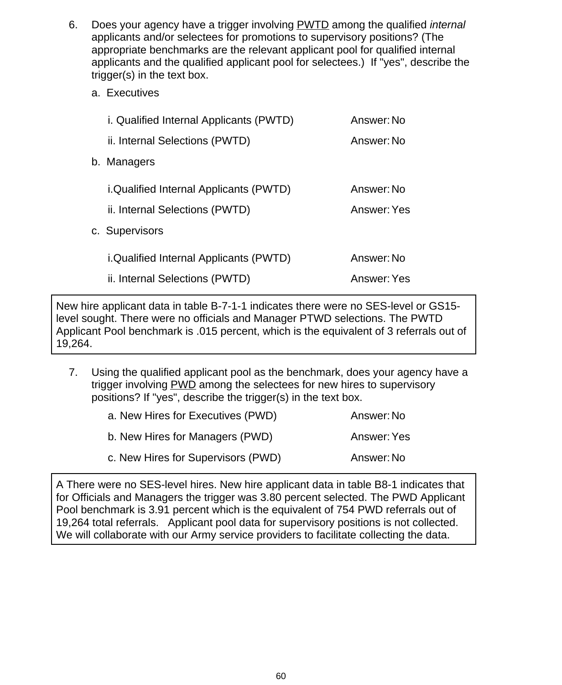- Does your agency have a trigger involving PWTD among the qualified *internal* applicants and/or selectees for promotions to supervisory positions? (The appropriate benchmarks are the relevant applicant pool for qualified internal applicants and the qualified applicant pool for selectees.) If "yes", describe the trigger(s) in the text box. 6.
	- a. Executives

| i. Qualified Internal Applicants (PWTD)        | Answer: No         |
|------------------------------------------------|--------------------|
| ii. Internal Selections (PWTD)                 | Answer: No         |
| b. Managers                                    |                    |
| <i>i</i> .Qualified Internal Applicants (PWTD) | Answer: No         |
| ii. Internal Selections (PWTD)                 | Answer: Yes        |
| c. Supervisors                                 |                    |
| <i>i.Qualified Internal Applicants (PWTD)</i>  | Answer: No         |
| ii. Internal Selections (PWTD)                 | <b>Answer: Yes</b> |

New hire applicant data in table B-7-1-1 indicates there were no SES-level or GS15 level sought. There were no officials and Manager PTWD selections. The PWTD Applicant Pool benchmark is .015 percent, which is the equivalent of 3 referrals out of 19,264.

Using the qualified applicant pool as the benchmark, does your agency have a trigger involving **PWD** among the selectees for new hires to supervisory positions? If "yes", describe the trigger(s) in the text box. 7.

| a. New Hires for Executives (PWD)  | Answer: No  |
|------------------------------------|-------------|
| b. New Hires for Managers (PWD)    | Answer: Yes |
| c. New Hires for Supervisors (PWD) | Answer: No  |

A There were no SES-level hires. New hire applicant data in table B8-1 indicates that for Officials and Managers the trigger was 3.80 percent selected. The PWD Applicant Pool benchmark is 3.91 percent which is the equivalent of 754 PWD referrals out of 19,264 total referrals. Applicant pool data for supervisory positions is not collected. We will collaborate with our Army service providers to facilitate collecting the data.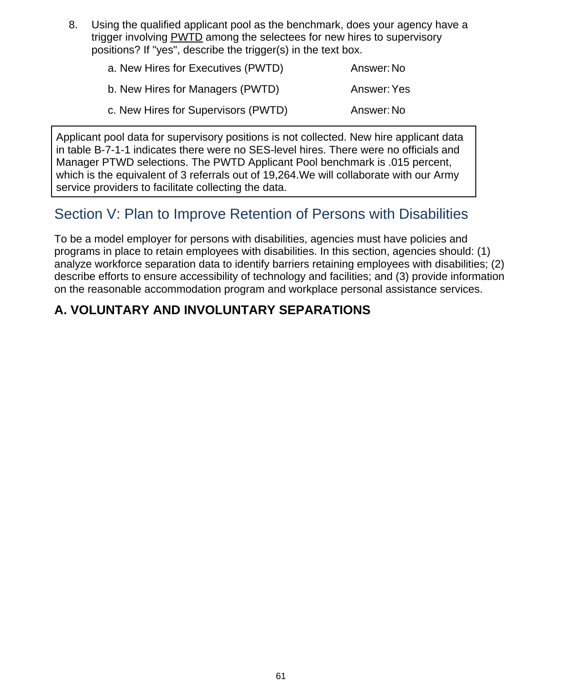Using the qualified applicant pool as the benchmark, does your agency have a trigger involving PWTD among the selectees for new hires to supervisory positions? If "yes", describe the trigger(s) in the text box. 8.

| a. New Hires for Executives (PWTD)  | Answer: No  |
|-------------------------------------|-------------|
| b. New Hires for Managers (PWTD)    | Answer: Yes |
| c. New Hires for Supervisors (PWTD) | Answer: No  |

Applicant pool data for supervisory positions is not collected. New hire applicant data in table B-7-1-1 indicates there were no SES-level hires. There were no officials and Manager PTWD selections. The PWTD Applicant Pool benchmark is .015 percent, which is the equivalent of 3 referrals out of 19,264.We will collaborate with our Army service providers to facilitate collecting the data.

# Section V: Plan to Improve Retention of Persons with Disabilities

To be a model employer for persons with disabilities, agencies must have policies and programs in place to retain employees with disabilities. In this section, agencies should: (1) analyze workforce separation data to identify barriers retaining employees with disabilities; (2) describe efforts to ensure accessibility of technology and facilities; and (3) provide information on the reasonable accommodation program and workplace personal assistance services.

### **A. VOLUNTARY AND INVOLUNTARY SEPARATIONS**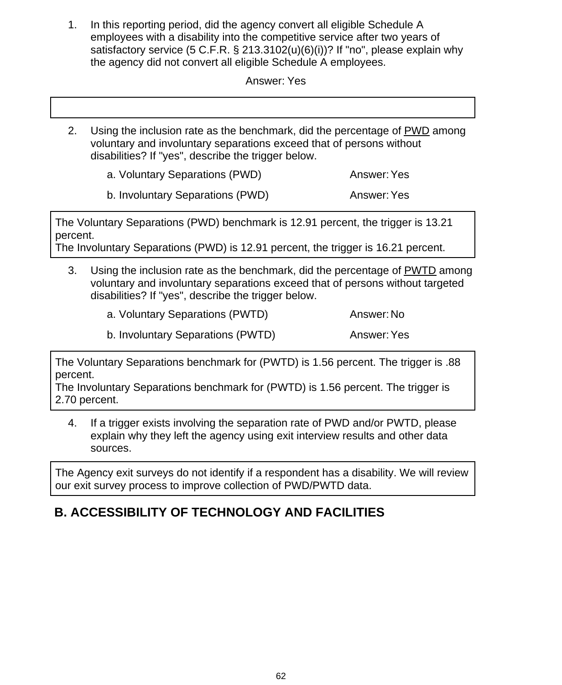In this reporting period, did the agency convert all eligible Schedule A employees with a disability into the competitive service after two years of satisfactory service (5 C.F.R. § 213.3102(u)(6)(i))? If "no", please explain why the agency did not convert all eligible Schedule A employees. 1.

Answer: Yes

Using the inclusion rate as the benchmark, did the percentage of PWD among voluntary and involuntary separations exceed that of persons without disabilities? If "yes", describe the trigger below. 2.

a. Voluntary Separations (PWD) Answer: Yes

b. Involuntary Separations (PWD) Answer: Yes

The Voluntary Separations (PWD) benchmark is 12.91 percent, the trigger is 13.21 percent.

The Involuntary Separations (PWD) is 12.91 percent, the trigger is 16.21 percent.

Using the inclusion rate as the benchmark, did the percentage of PWTD among voluntary and involuntary separations exceed that of persons without targeted disabilities? If "yes", describe the trigger below. 3.

|  | a. Voluntary Separations (PWTD) |  | Answer: No |
|--|---------------------------------|--|------------|
|--|---------------------------------|--|------------|

b. Involuntary Separations (PWTD) Answer: Yes

The Voluntary Separations benchmark for (PWTD) is 1.56 percent. The trigger is .88 percent.

The Involuntary Separations benchmark for (PWTD) is 1.56 percent. The trigger is 2.70 percent.

If a trigger exists involving the separation rate of PWD and/or PWTD, please explain why they left the agency using exit interview results and other data sources. 4.

The Agency exit surveys do not identify if a respondent has a disability. We will review our exit survey process to improve collection of PWD/PWTD data.

# **B. ACCESSIBILITY OF TECHNOLOGY AND FACILITIES**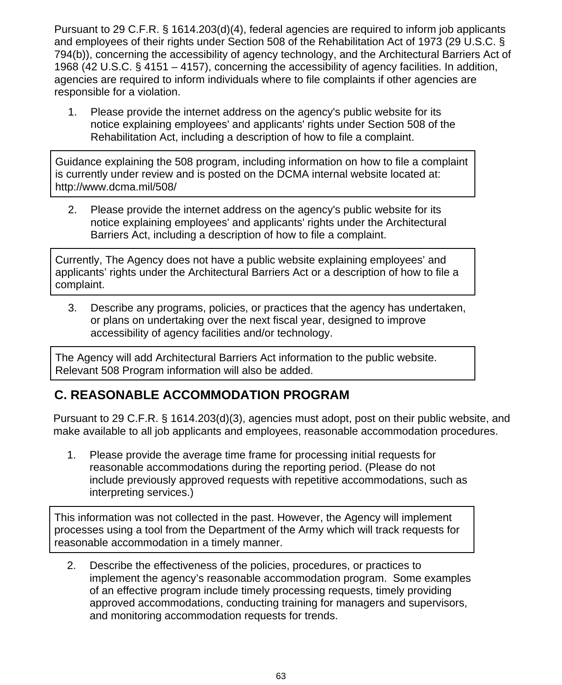Pursuant to 29 C.F.R. § 1614.203(d)(4), federal agencies are required to inform job applicants and employees of their rights under Section 508 of the Rehabilitation Act of 1973 (29 U.S.C. § 794(b)), concerning the accessibility of agency technology, and the Architectural Barriers Act of 1968 (42 U.S.C. § 4151 – 4157), concerning the accessibility of agency facilities. In addition, agencies are required to inform individuals where to file complaints if other agencies are responsible for a violation.

Please provide the internet address on the agency's public website for its notice explaining employees' and applicants' rights under Section 508 of the Rehabilitation Act, including a description of how to file a complaint. 1.

Guidance explaining the 508 program, including information on how to file a complaint is currently under review and is posted on the DCMA internal website located at: http://www.dcma.mil/508/

Please provide the internet address on the agency's public website for its notice explaining employees' and applicants' rights under the Architectural Barriers Act, including a description of how to file a complaint. 2.

Currently, The Agency does not have a public website explaining employees' and applicants' rights under the Architectural Barriers Act or a description of how to file a complaint.

Describe any programs, policies, or practices that the agency has undertaken, or plans on undertaking over the next fiscal year, designed to improve accessibility of agency facilities and/or technology. 3.

The Agency will add Architectural Barriers Act information to the public website. Relevant 508 Program information will also be added.

### **C. REASONABLE ACCOMMODATION PROGRAM**

Pursuant to 29 C.F.R. § 1614.203(d)(3), agencies must adopt, post on their public website, and make available to all job applicants and employees, reasonable accommodation procedures.

Please provide the average time frame for processing initial requests for reasonable accommodations during the reporting period. (Please do not include previously approved requests with repetitive accommodations, such as interpreting services.) 1.

This information was not collected in the past. However, the Agency will implement processes using a tool from the Department of the Army which will track requests for reasonable accommodation in a timely manner.

Describe the effectiveness of the policies, procedures, or practices to implement the agency's reasonable accommodation program. Some examples of an effective program include timely processing requests, timely providing approved accommodations, conducting training for managers and supervisors, and monitoring accommodation requests for trends. 2.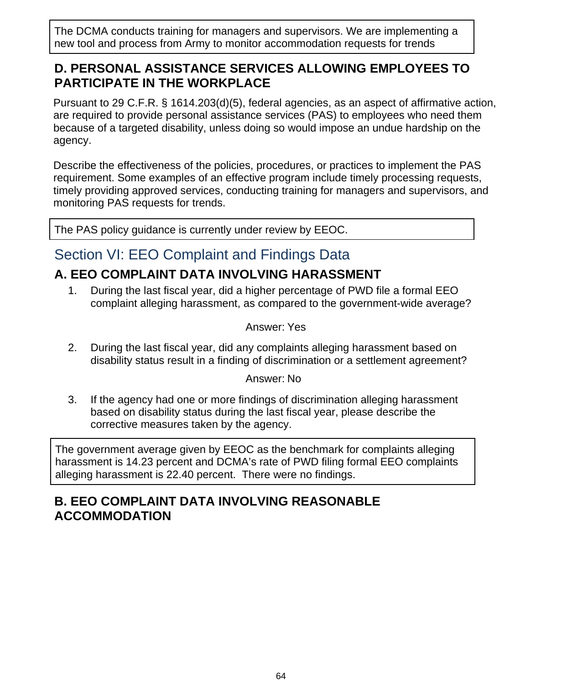The DCMA conducts training for managers and supervisors. We are implementing a new tool and process from Army to monitor accommodation requests for trends

#### **D. PERSONAL ASSISTANCE SERVICES ALLOWING EMPLOYEES TO PARTICIPATE IN THE WORKPLACE**

Pursuant to 29 C.F.R. § 1614.203(d)(5), federal agencies, as an aspect of affirmative action, are required to provide personal assistance services (PAS) to employees who need them because of a targeted disability, unless doing so would impose an undue hardship on the agency.

Describe the effectiveness of the policies, procedures, or practices to implement the PAS requirement. Some examples of an effective program include timely processing requests, timely providing approved services, conducting training for managers and supervisors, and monitoring PAS requests for trends.

The PAS policy guidance is currently under review by EEOC.

# Section VI: EEO Complaint and Findings Data

# **A. EEO COMPLAINT DATA INVOLVING HARASSMENT**

During the last fiscal year, did a higher percentage of PWD file a formal EEO complaint alleging harassment, as compared to the government-wide average? 1.

Answer: Yes

During the last fiscal year, did any complaints alleging harassment based on disability status result in a finding of discrimination or a settlement agreement? 2.

Answer: No

If the agency had one or more findings of discrimination alleging harassment based on disability status during the last fiscal year, please describe the corrective measures taken by the agency. 3.

The government average given by EEOC as the benchmark for complaints alleging harassment is 14.23 percent and DCMA's rate of PWD filing formal EEO complaints alleging harassment is 22.40 percent. There were no findings.

### **B. EEO COMPLAINT DATA INVOLVING REASONABLE ACCOMMODATION**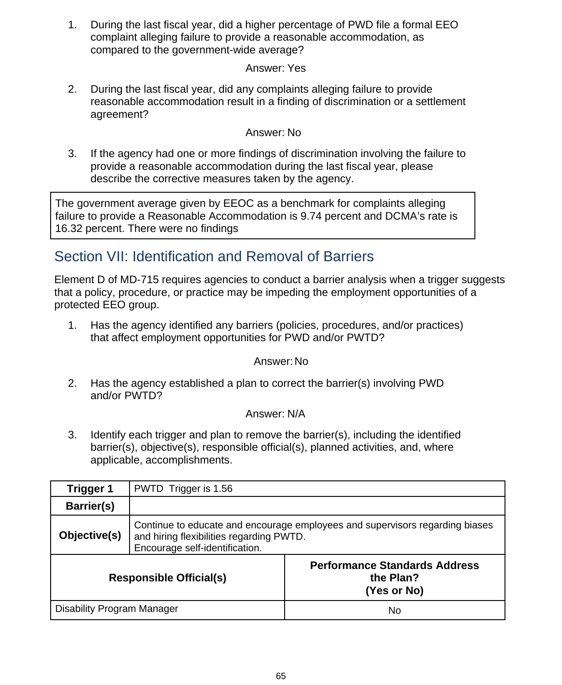During the last fiscal year, did a higher percentage of PWD file a formal EEO complaint alleging failure to provide a reasonable accommodation, as compared to the government-wide average? 1.

#### Answer: Yes

During the last fiscal year, did any complaints alleging failure to provide reasonable accommodation result in a finding of discrimination or a settlement agreement? 2.

#### Answer: No

If the agency had one or more findings of discrimination involving the failure to provide a reasonable accommodation during the last fiscal year, please describe the corrective measures taken by the agency. 3.

The government average given by EEOC as a benchmark for complaints alleging failure to provide a Reasonable Accommodation is 9.74 percent and DCMA's rate is 16.32 percent. There were no findings

# Section VII: Identification and Removal of Barriers

Element D of MD-715 requires agencies to conduct a barrier analysis when a trigger suggests that a policy, procedure, or practice may be impeding the employment opportunities of a protected EEO group.

Has the agency identified any barriers (policies, procedures, and/or practices) that affect employment opportunities for PWD and/or PWTD? 1.

#### Answer:No

Has the agency established a plan to correct the barrier(s) involving PWD and/or PWTD? 2.

#### Answer: N/A

Identify each trigger and plan to remove the barrier(s), including the identified barrier(s), objective(s), responsible official(s), planned activities, and, where applicable, accomplishments. 3.

| Trigger 1                         | PWTD Trigger is 1.56                                                                                                                                       |                                                                  |  |  |
|-----------------------------------|------------------------------------------------------------------------------------------------------------------------------------------------------------|------------------------------------------------------------------|--|--|
| <b>Barrier(s)</b>                 |                                                                                                                                                            |                                                                  |  |  |
| Objective(s)                      | Continue to educate and encourage employees and supervisors regarding biases<br>and hiring flexibilities regarding PWTD.<br>Encourage self-identification. |                                                                  |  |  |
| <b>Responsible Official(s)</b>    |                                                                                                                                                            | <b>Performance Standards Address</b><br>the Plan?<br>(Yes or No) |  |  |
| <b>Disability Program Manager</b> |                                                                                                                                                            | No                                                               |  |  |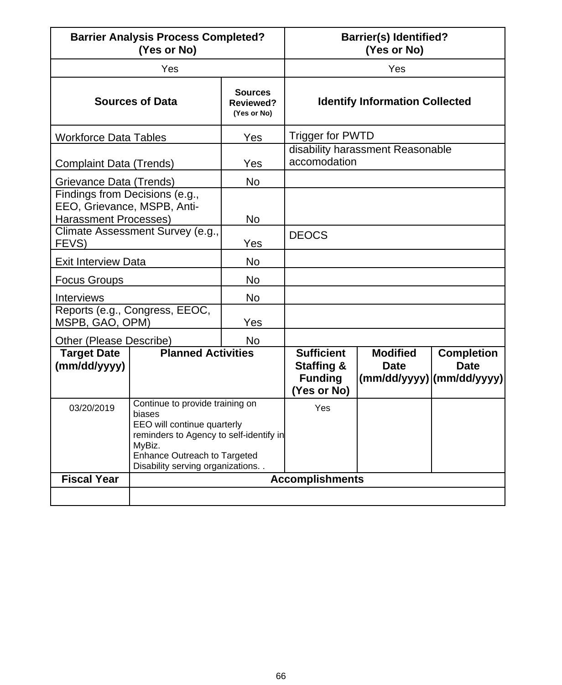| <b>Barrier Analysis Process Completed?</b><br>(Yes or No)                                     |                                                                                                                                                                                                   | <b>Barrier(s) Identified?</b><br>(Yes or No)      |                                                                             |                                                                                                         |                                       |  |
|-----------------------------------------------------------------------------------------------|---------------------------------------------------------------------------------------------------------------------------------------------------------------------------------------------------|---------------------------------------------------|-----------------------------------------------------------------------------|---------------------------------------------------------------------------------------------------------|---------------------------------------|--|
| Yes                                                                                           |                                                                                                                                                                                                   | Yes                                               |                                                                             |                                                                                                         |                                       |  |
|                                                                                               | <b>Sources of Data</b>                                                                                                                                                                            | <b>Sources</b><br><b>Reviewed?</b><br>(Yes or No) |                                                                             |                                                                                                         | <b>Identify Information Collected</b> |  |
| <b>Workforce Data Tables</b>                                                                  |                                                                                                                                                                                                   | Yes                                               | <b>Trigger for PWTD</b>                                                     |                                                                                                         |                                       |  |
| <b>Complaint Data (Trends)</b>                                                                |                                                                                                                                                                                                   | Yes                                               | disability harassment Reasonable<br>accomodation                            |                                                                                                         |                                       |  |
|                                                                                               | Grievance Data (Trends)                                                                                                                                                                           |                                                   |                                                                             |                                                                                                         |                                       |  |
| Findings from Decisions (e.g.,<br>EEO, Grievance, MSPB, Anti-<br><b>Harassment Processes)</b> |                                                                                                                                                                                                   | <b>No</b>                                         |                                                                             |                                                                                                         |                                       |  |
| Climate Assessment Survey (e.g.,<br>FEVS)                                                     |                                                                                                                                                                                                   | Yes                                               | <b>DEOCS</b>                                                                |                                                                                                         |                                       |  |
| <b>Exit Interview Data</b>                                                                    |                                                                                                                                                                                                   | <b>No</b>                                         |                                                                             |                                                                                                         |                                       |  |
| <b>Focus Groups</b>                                                                           |                                                                                                                                                                                                   | <b>No</b>                                         |                                                                             |                                                                                                         |                                       |  |
| <b>Interviews</b>                                                                             |                                                                                                                                                                                                   | <b>No</b>                                         |                                                                             |                                                                                                         |                                       |  |
| Reports (e.g., Congress, EEOC,<br>MSPB, GAO, OPM)                                             |                                                                                                                                                                                                   | Yes                                               |                                                                             |                                                                                                         |                                       |  |
| Other (Please Describe)                                                                       |                                                                                                                                                                                                   | <b>No</b>                                         |                                                                             |                                                                                                         |                                       |  |
| <b>Target Date</b><br>(mm/dd/yyyy)                                                            | <b>Planned Activities</b>                                                                                                                                                                         |                                                   | <b>Sufficient</b><br><b>Staffing &amp;</b><br><b>Funding</b><br>(Yes or No) | <b>Modified</b><br><b>Date</b><br>$ (\text{mm}/\text{dd}/\text{yy}y) (\text{mm}/\text{dd}/\text{yy}y) $ | <b>Completion</b><br><b>Date</b>      |  |
| 03/20/2019                                                                                    | Continue to provide training on<br>biases<br>EEO will continue quarterly<br>reminders to Agency to self-identify in<br>MyBiz.<br>Enhance Outreach to Targeted<br>Disability serving organizations |                                                   | Yes                                                                         |                                                                                                         |                                       |  |
| <b>Fiscal Year</b>                                                                            | <b>Accomplishments</b>                                                                                                                                                                            |                                                   |                                                                             |                                                                                                         |                                       |  |
|                                                                                               |                                                                                                                                                                                                   |                                                   |                                                                             |                                                                                                         |                                       |  |